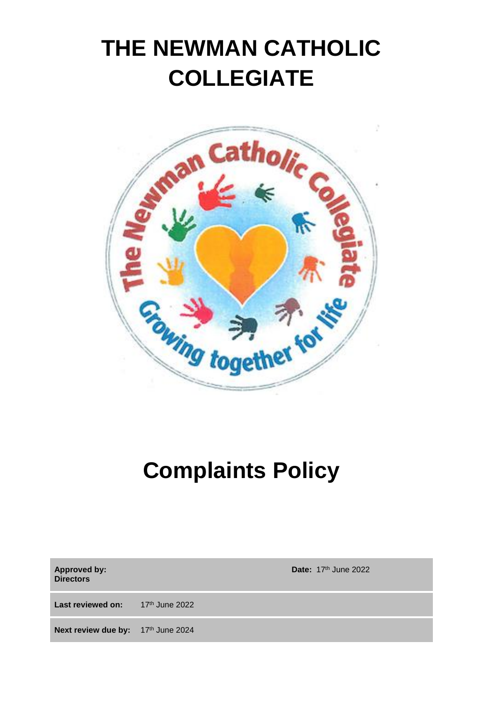# **THE NEWMAN CATHOLIC COLLEGIATE**



# **Complaints Policy**

| Approved by:<br><b>Directors</b>          | Date: $17th$ June 2022 |
|-------------------------------------------|------------------------|
| <b>Last reviewed on:</b> $17th$ June 2022 |                        |
| Next review due by: 17th June 2024        |                        |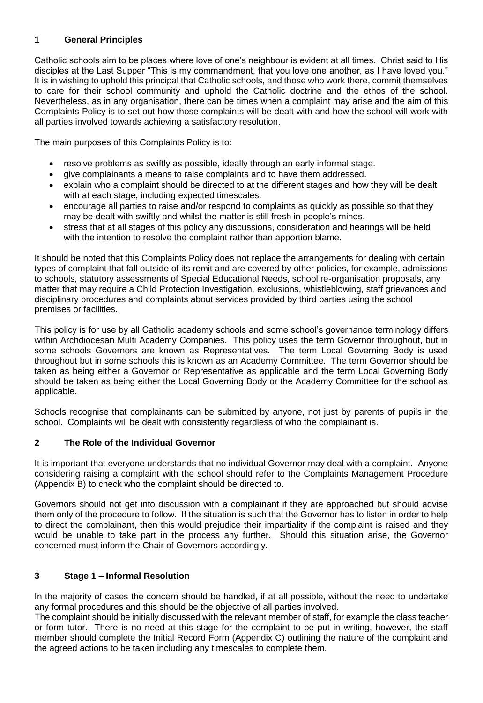# **1 General Principles**

Catholic schools aim to be places where love of one's neighbour is evident at all times. Christ said to His disciples at the Last Supper "This is my commandment, that you love one another, as I have loved you." It is in wishing to uphold this principal that Catholic schools, and those who work there, commit themselves to care for their school community and uphold the Catholic doctrine and the ethos of the school. Nevertheless, as in any organisation, there can be times when a complaint may arise and the aim of this Complaints Policy is to set out how those complaints will be dealt with and how the school will work with all parties involved towards achieving a satisfactory resolution.

The main purposes of this Complaints Policy is to:

- resolve problems as swiftly as possible, ideally through an early informal stage.
- give complainants a means to raise complaints and to have them addressed.
- explain who a complaint should be directed to at the different stages and how they will be dealt with at each stage, including expected timescales.
- encourage all parties to raise and/or respond to complaints as quickly as possible so that they may be dealt with swiftly and whilst the matter is still fresh in people's minds.
- stress that at all stages of this policy any discussions, consideration and hearings will be held with the intention to resolve the complaint rather than apportion blame.

It should be noted that this Complaints Policy does not replace the arrangements for dealing with certain types of complaint that fall outside of its remit and are covered by other policies, for example, admissions to schools, statutory assessments of Special Educational Needs, school re-organisation proposals, any matter that may require a Child Protection Investigation, exclusions, whistleblowing, staff grievances and disciplinary procedures and complaints about services provided by third parties using the school premises or facilities.

This policy is for use by all Catholic academy schools and some school's governance terminology differs within Archdiocesan Multi Academy Companies. This policy uses the term Governor throughout, but in some schools Governors are known as Representatives. The term Local Governing Body is used throughout but in some schools this is known as an Academy Committee. The term Governor should be taken as being either a Governor or Representative as applicable and the term Local Governing Body should be taken as being either the Local Governing Body or the Academy Committee for the school as applicable.

Schools recognise that complainants can be submitted by anyone, not just by parents of pupils in the school. Complaints will be dealt with consistently regardless of who the complainant is.

# **2 The Role of the Individual Governor**

It is important that everyone understands that no individual Governor may deal with a complaint. Anyone considering raising a complaint with the school should refer to the Complaints Management Procedure (Appendix B) to check who the complaint should be directed to.

Governors should not get into discussion with a complainant if they are approached but should advise them only of the procedure to follow. If the situation is such that the Governor has to listen in order to help to direct the complainant, then this would prejudice their impartiality if the complaint is raised and they would be unable to take part in the process any further. Should this situation arise, the Governor concerned must inform the Chair of Governors accordingly.

# **3 Stage 1 – Informal Resolution**

In the majority of cases the concern should be handled, if at all possible, without the need to undertake any formal procedures and this should be the objective of all parties involved.

The complaint should be initially discussed with the relevant member of staff, for example the class teacher or form tutor. There is no need at this stage for the complaint to be put in writing, however, the staff member should complete the Initial Record Form (Appendix C) outlining the nature of the complaint and the agreed actions to be taken including any timescales to complete them.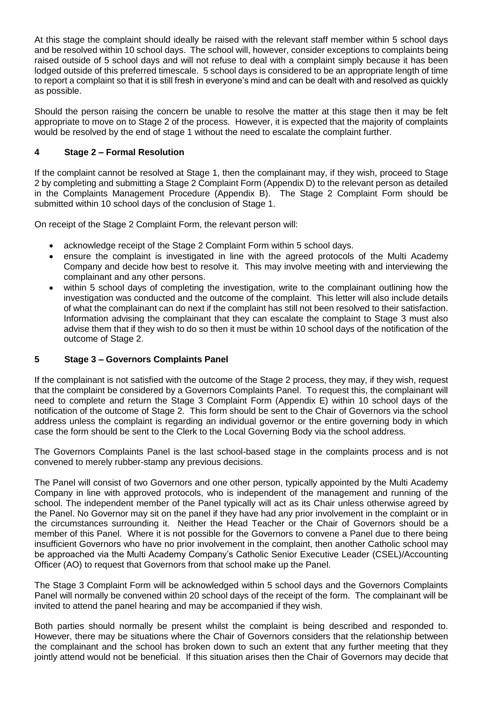At this stage the complaint should ideally be raised with the relevant staff member within 5 school days and be resolved within 10 school days. The school will, however, consider exceptions to complaints being raised outside of 5 school days and will not refuse to deal with a complaint simply because it has been lodged outside of this preferred timescale. 5 school days is considered to be an appropriate length of time to report a complaint so that it is still fresh in everyone's mind and can be dealt with and resolved as quickly as possible.

Should the person raising the concern be unable to resolve the matter at this stage then it may be felt appropriate to move on to Stage 2 of the process. However, it is expected that the majority of complaints would be resolved by the end of stage 1 without the need to escalate the complaint further.

## **4 Stage 2 – Formal Resolution**

If the complaint cannot be resolved at Stage 1, then the complainant may, if they wish, proceed to Stage 2 by completing and submitting a Stage 2 Complaint Form (Appendix D) to the relevant person as detailed in the Complaints Management Procedure (Appendix B). The Stage 2 Complaint Form should be submitted within 10 school days of the conclusion of Stage 1.

On receipt of the Stage 2 Complaint Form, the relevant person will:

- acknowledge receipt of the Stage 2 Complaint Form within 5 school days.
- ensure the complaint is investigated in line with the agreed protocols of the Multi Academy Company and decide how best to resolve it. This may involve meeting with and interviewing the complainant and any other persons.
- within 5 school days of completing the investigation, write to the complainant outlining how the investigation was conducted and the outcome of the complaint. This letter will also include details of what the complainant can do next if the complaint has still not been resolved to their satisfaction. Information advising the complainant that they can escalate the complaint to Stage 3 must also advise them that if they wish to do so then it must be within 10 school days of the notification of the outcome of Stage 2.

#### **5 Stage 3 – Governors Complaints Panel**

If the complainant is not satisfied with the outcome of the Stage 2 process, they may, if they wish, request that the complaint be considered by a Governors Complaints Panel. To request this, the complainant will need to complete and return the Stage 3 Complaint Form (Appendix E) within 10 school days of the notification of the outcome of Stage 2. This form should be sent to the Chair of Governors via the school address unless the complaint is regarding an individual governor or the entire governing body in which case the form should be sent to the Clerk to the Local Governing Body via the school address.

The Governors Complaints Panel is the last school-based stage in the complaints process and is not convened to merely rubber-stamp any previous decisions.

The Panel will consist of two Governors and one other person, typically appointed by the Multi Academy Company in line with approved protocols, who is independent of the management and running of the school. The independent member of the Panel typically will act as its Chair unless otherwise agreed by the Panel. No Governor may sit on the panel if they have had any prior involvement in the complaint or in the circumstances surrounding it. Neither the Head Teacher or the Chair of Governors should be a member of this Panel. Where it is not possible for the Governors to convene a Panel due to there being insufficient Governors who have no prior involvement in the complaint, then another Catholic school may be approached via the Multi Academy Company's Catholic Senior Executive Leader (CSEL)/Accounting Officer (AO) to request that Governors from that school make up the Panel.

The Stage 3 Complaint Form will be acknowledged within 5 school days and the Governors Complaints Panel will normally be convened within 20 school days of the receipt of the form. The complainant will be invited to attend the panel hearing and may be accompanied if they wish.

Both parties should normally be present whilst the complaint is being described and responded to. However, there may be situations where the Chair of Governors considers that the relationship between the complainant and the school has broken down to such an extent that any further meeting that they jointly attend would not be beneficial. If this situation arises then the Chair of Governors may decide that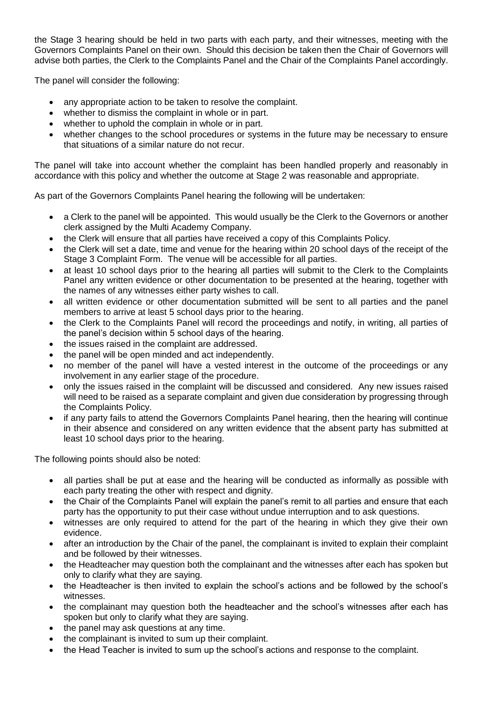the Stage 3 hearing should be held in two parts with each party, and their witnesses, meeting with the Governors Complaints Panel on their own. Should this decision be taken then the Chair of Governors will advise both parties, the Clerk to the Complaints Panel and the Chair of the Complaints Panel accordingly.

The panel will consider the following:

- any appropriate action to be taken to resolve the complaint.
- whether to dismiss the complaint in whole or in part.
- whether to uphold the complain in whole or in part.
- whether changes to the school procedures or systems in the future may be necessary to ensure that situations of a similar nature do not recur.

The panel will take into account whether the complaint has been handled properly and reasonably in accordance with this policy and whether the outcome at Stage 2 was reasonable and appropriate.

As part of the Governors Complaints Panel hearing the following will be undertaken:

- a Clerk to the panel will be appointed. This would usually be the Clerk to the Governors or another clerk assigned by the Multi Academy Company.
- the Clerk will ensure that all parties have received a copy of this Complaints Policy.
- the Clerk will set a date, time and venue for the hearing within 20 school days of the receipt of the Stage 3 Complaint Form. The venue will be accessible for all parties.
- at least 10 school days prior to the hearing all parties will submit to the Clerk to the Complaints Panel any written evidence or other documentation to be presented at the hearing, together with the names of any witnesses either party wishes to call.
- all written evidence or other documentation submitted will be sent to all parties and the panel members to arrive at least 5 school days prior to the hearing.
- the Clerk to the Complaints Panel will record the proceedings and notify, in writing, all parties of the panel's decision within 5 school days of the hearing.
- the issues raised in the complaint are addressed.
- the panel will be open minded and act independently.
- no member of the panel will have a vested interest in the outcome of the proceedings or any involvement in any earlier stage of the procedure.
- only the issues raised in the complaint will be discussed and considered. Any new issues raised will need to be raised as a separate complaint and given due consideration by progressing through the Complaints Policy.
- if any party fails to attend the Governors Complaints Panel hearing, then the hearing will continue in their absence and considered on any written evidence that the absent party has submitted at least 10 school days prior to the hearing.

The following points should also be noted:

- all parties shall be put at ease and the hearing will be conducted as informally as possible with each party treating the other with respect and dignity.
- the Chair of the Complaints Panel will explain the panel's remit to all parties and ensure that each party has the opportunity to put their case without undue interruption and to ask questions.
- witnesses are only required to attend for the part of the hearing in which they give their own evidence.
- after an introduction by the Chair of the panel, the complainant is invited to explain their complaint and be followed by their witnesses.
- the Headteacher may question both the complainant and the witnesses after each has spoken but only to clarify what they are saying.
- the Headteacher is then invited to explain the school's actions and be followed by the school's witnesses.
- the complainant may question both the headteacher and the school's witnesses after each has spoken but only to clarify what they are saying.
- the panel may ask questions at any time.
- the complainant is invited to sum up their complaint.
- the Head Teacher is invited to sum up the school's actions and response to the complaint.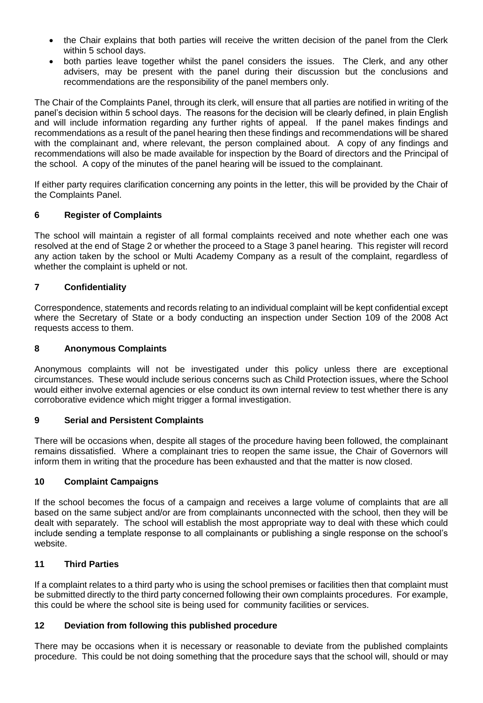- the Chair explains that both parties will receive the written decision of the panel from the Clerk within 5 school days.
- both parties leave together whilst the panel considers the issues. The Clerk, and any other advisers, may be present with the panel during their discussion but the conclusions and recommendations are the responsibility of the panel members only.

The Chair of the Complaints Panel, through its clerk, will ensure that all parties are notified in writing of the panel's decision within 5 school days. The reasons for the decision will be clearly defined, in plain English and will include information regarding any further rights of appeal. If the panel makes findings and recommendations as a result of the panel hearing then these findings and recommendations will be shared with the complainant and, where relevant, the person complained about. A copy of any findings and recommendations will also be made available for inspection by the Board of directors and the Principal of the school. A copy of the minutes of the panel hearing will be issued to the complainant.

If either party requires clarification concerning any points in the letter, this will be provided by the Chair of the Complaints Panel.

## **6 Register of Complaints**

The school will maintain a register of all formal complaints received and note whether each one was resolved at the end of Stage 2 or whether the proceed to a Stage 3 panel hearing. This register will record any action taken by the school or Multi Academy Company as a result of the complaint, regardless of whether the complaint is upheld or not.

## **7 Confidentiality**

Correspondence, statements and records relating to an individual complaint will be kept confidential except where the Secretary of State or a body conducting an inspection under Section 109 of the 2008 Act requests access to them.

#### **8 Anonymous Complaints**

Anonymous complaints will not be investigated under this policy unless there are exceptional circumstances. These would include serious concerns such as Child Protection issues, where the School would either involve external agencies or else conduct its own internal review to test whether there is any corroborative evidence which might trigger a formal investigation.

#### **9 Serial and Persistent Complaints**

There will be occasions when, despite all stages of the procedure having been followed, the complainant remains dissatisfied. Where a complainant tries to reopen the same issue, the Chair of Governors will inform them in writing that the procedure has been exhausted and that the matter is now closed.

#### **10 Complaint Campaigns**

If the school becomes the focus of a campaign and receives a large volume of complaints that are all based on the same subject and/or are from complainants unconnected with the school, then they will be dealt with separately. The school will establish the most appropriate way to deal with these which could include sending a template response to all complainants or publishing a single response on the school's website.

#### **11 Third Parties**

If a complaint relates to a third party who is using the school premises or facilities then that complaint must be submitted directly to the third party concerned following their own complaints procedures. For example, this could be where the school site is being used for community facilities or services.

#### **12 Deviation from following this published procedure**

There may be occasions when it is necessary or reasonable to deviate from the published complaints procedure. This could be not doing something that the procedure says that the school will, should or may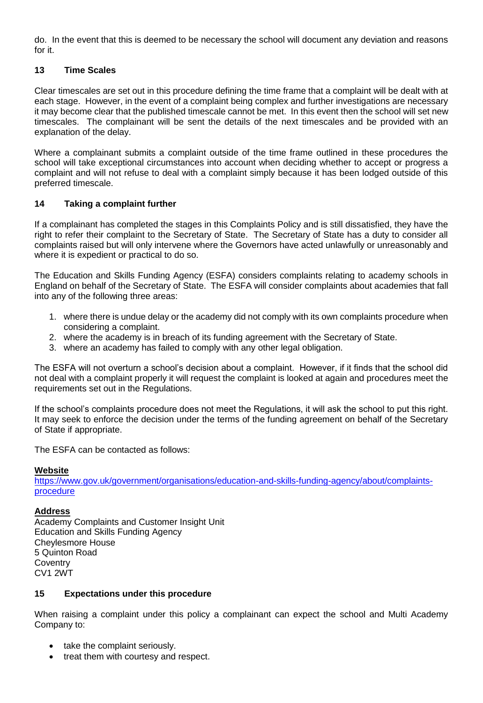do. In the event that this is deemed to be necessary the school will document any deviation and reasons for it.

#### **13 Time Scales**

Clear timescales are set out in this procedure defining the time frame that a complaint will be dealt with at each stage. However, in the event of a complaint being complex and further investigations are necessary it may become clear that the published timescale cannot be met. In this event then the school will set new timescales. The complainant will be sent the details of the next timescales and be provided with an explanation of the delay.

Where a complainant submits a complaint outside of the time frame outlined in these procedures the school will take exceptional circumstances into account when deciding whether to accept or progress a complaint and will not refuse to deal with a complaint simply because it has been lodged outside of this preferred timescale.

#### **14 Taking a complaint further**

If a complainant has completed the stages in this Complaints Policy and is still dissatisfied, they have the right to refer their complaint to the Secretary of State. The Secretary of State has a duty to consider all complaints raised but will only intervene where the Governors have acted unlawfully or unreasonably and where it is expedient or practical to do so.

The Education and Skills Funding Agency (ESFA) considers complaints relating to academy schools in England on behalf of the Secretary of State. The ESFA will consider complaints about academies that fall into any of the following three areas:

- 1. where there is undue delay or the academy did not comply with its own complaints procedure when considering a complaint.
- 2. where the academy is in breach of its funding agreement with the Secretary of State.
- 3. where an academy has failed to comply with any other legal obligation.

The ESFA will not overturn a school's decision about a complaint. However, if it finds that the school did not deal with a complaint properly it will request the complaint is looked at again and procedures meet the requirements set out in the Regulations.

If the school's complaints procedure does not meet the Regulations, it will ask the school to put this right. It may seek to enforce the decision under the terms of the funding agreement on behalf of the Secretary of State if appropriate.

The ESFA can be contacted as follows:

#### **Website**

[https://www.gov.uk/government/organisations/education-and-skills-funding-agency/about/complaints](https://www.gov.uk/government/organisations/education-and-skills-funding-agency/about/complaints-procedure)[procedure](https://www.gov.uk/government/organisations/education-and-skills-funding-agency/about/complaints-procedure)

#### **Address**

Academy Complaints and Customer Insight Unit Education and Skills Funding Agency Cheylesmore House 5 Quinton Road **Coventry** CV1 2WT

#### **15 Expectations under this procedure**

When raising a complaint under this policy a complainant can expect the school and Multi Academy Company to:

- take the complaint seriously.
- treat them with courtesy and respect.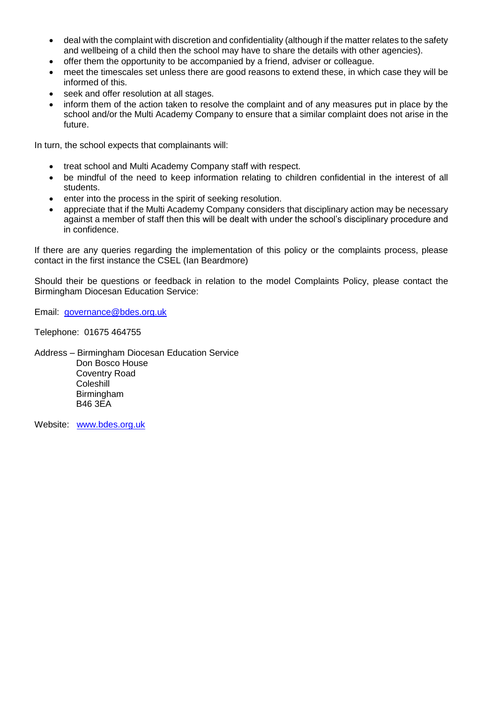- deal with the complaint with discretion and confidentiality (although if the matter relates to the safety and wellbeing of a child then the school may have to share the details with other agencies).
- offer them the opportunity to be accompanied by a friend, adviser or colleague.
- meet the timescales set unless there are good reasons to extend these, in which case they will be informed of this.
- seek and offer resolution at all stages.
- inform them of the action taken to resolve the complaint and of any measures put in place by the school and/or the Multi Academy Company to ensure that a similar complaint does not arise in the future.

In turn, the school expects that complainants will:

- treat school and Multi Academy Company staff with respect.
- be mindful of the need to keep information relating to children confidential in the interest of all students.
- enter into the process in the spirit of seeking resolution.
- appreciate that if the Multi Academy Company considers that disciplinary action may be necessary against a member of staff then this will be dealt with under the school's disciplinary procedure and in confidence.

If there are any queries regarding the implementation of this policy or the complaints process, please contact in the first instance the CSEL (Ian Beardmore)

Should their be questions or feedback in relation to the model Complaints Policy, please contact the Birmingham Diocesan Education Service:

Email: [governance@bdes.org.uk](mailto:governance@bdes.org.uk)

Telephone: 01675 464755

Address – Birmingham Diocesan Education Service Don Bosco House Coventry Road **Coleshill**  Birmingham B46 3EA

Website: [www.bdes.org.uk](http://www.bdes.org.uk/)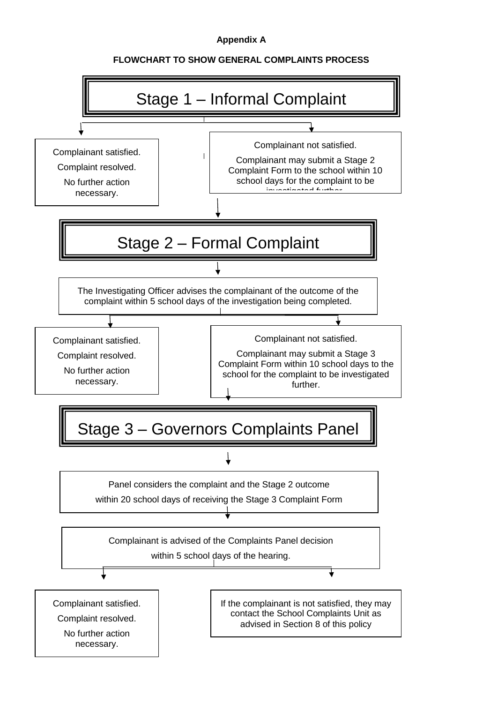## **Appendix A**

## **FLOWCHART TO SHOW GENERAL COMPLAINTS PROCESS**

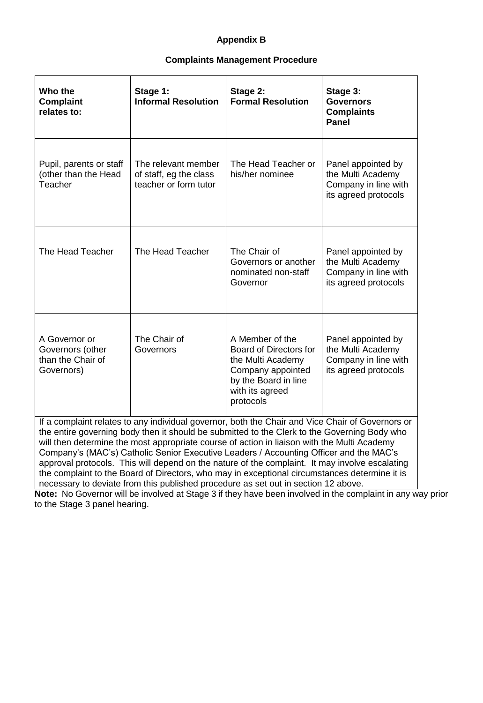# **Appendix B**

#### **Complaints Management Procedure**

| Who the<br><b>Complaint</b><br>relates to:                                                                                                                                                                                                                                                      | Stage 1:<br><b>Informal Resolution</b>                                 | Stage 2:<br><b>Formal Resolution</b>                                                                                                        | Stage 3:<br><b>Governors</b><br><b>Complaints</b><br><b>Panel</b>                       |
|-------------------------------------------------------------------------------------------------------------------------------------------------------------------------------------------------------------------------------------------------------------------------------------------------|------------------------------------------------------------------------|---------------------------------------------------------------------------------------------------------------------------------------------|-----------------------------------------------------------------------------------------|
| Pupil, parents or staff<br>(other than the Head<br>Teacher                                                                                                                                                                                                                                      | The relevant member<br>of staff, eg the class<br>teacher or form tutor | The Head Teacher or<br>his/her nominee                                                                                                      | Panel appointed by<br>the Multi Academy<br>Company in line with<br>its agreed protocols |
| The Head Teacher                                                                                                                                                                                                                                                                                | The Head Teacher                                                       | The Chair of<br>Governors or another<br>nominated non-staff<br>Governor                                                                     | Panel appointed by<br>the Multi Academy<br>Company in line with<br>its agreed protocols |
| A Governor or<br>Governors (other<br>than the Chair of<br>Governors)                                                                                                                                                                                                                            | The Chair of<br>Governors                                              | A Member of the<br>Board of Directors for<br>the Multi Academy<br>Company appointed<br>by the Board in line<br>with its agreed<br>protocols | Panel appointed by<br>the Multi Academy<br>Company in line with<br>its agreed protocols |
| If a complaint relates to any individual governor, both the Chair and Vice Chair of Governors or<br>the entire governing body then it should be submitted to the Clerk to the Governing Body who<br>will then determine the most appropriate course of action in liaison with the Multi Academy |                                                                        |                                                                                                                                             |                                                                                         |

Company's (MAC's) Catholic Senior Executive Leaders / Accounting Officer and the MAC's approval protocols. This will depend on the nature of the complaint. It may involve escalating the complaint to the Board of Directors, who may in exceptional circumstances determine it is necessary to deviate from this published procedure as set out in section 12 above.

**Note:** No Governor will be involved at Stage 3 if they have been involved in the complaint in any way prior to the Stage 3 panel hearing.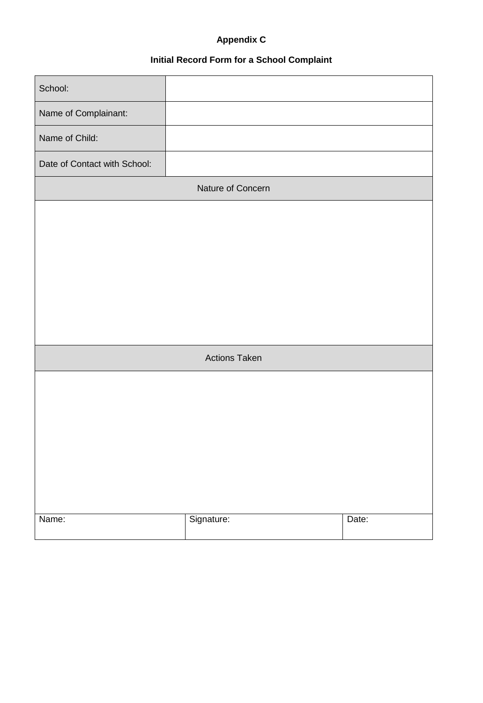# **Appendix C**

# **Initial Record Form for a School Complaint**

| School:                      |                      |       |
|------------------------------|----------------------|-------|
| Name of Complainant:         |                      |       |
| Name of Child:               |                      |       |
| Date of Contact with School: |                      |       |
| Nature of Concern            |                      |       |
|                              |                      |       |
|                              |                      |       |
|                              |                      |       |
|                              |                      |       |
|                              |                      |       |
|                              |                      |       |
|                              | <b>Actions Taken</b> |       |
|                              |                      |       |
|                              |                      |       |
|                              |                      |       |
|                              |                      |       |
|                              |                      |       |
|                              |                      |       |
| Name:                        | Signature:           | Date: |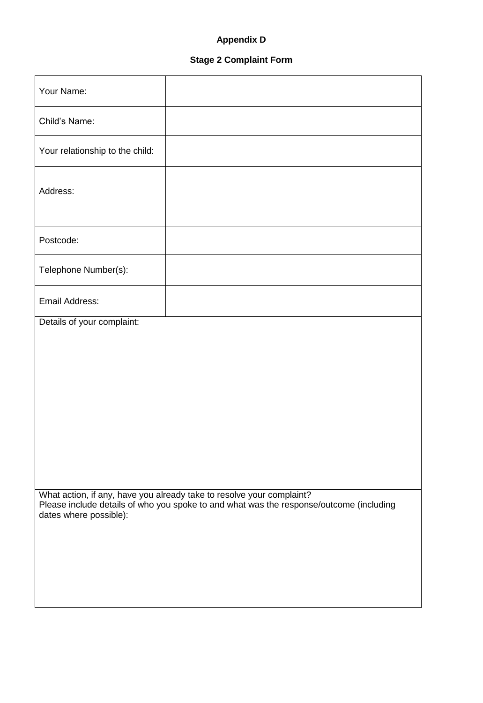# **Appendix D**

# **Stage 2 Complaint Form**

| Your Name:                                                                                                                                                                                 |  |  |
|--------------------------------------------------------------------------------------------------------------------------------------------------------------------------------------------|--|--|
| Child's Name:                                                                                                                                                                              |  |  |
| Your relationship to the child:                                                                                                                                                            |  |  |
| Address:                                                                                                                                                                                   |  |  |
| Postcode:                                                                                                                                                                                  |  |  |
| Telephone Number(s):                                                                                                                                                                       |  |  |
| Email Address:                                                                                                                                                                             |  |  |
| Details of your complaint:                                                                                                                                                                 |  |  |
|                                                                                                                                                                                            |  |  |
|                                                                                                                                                                                            |  |  |
|                                                                                                                                                                                            |  |  |
|                                                                                                                                                                                            |  |  |
|                                                                                                                                                                                            |  |  |
| What action, if any, have you already take to resolve your complaint?<br>Please include details of who you spoke to and what was the response/outcome (including<br>dates where possible): |  |  |
|                                                                                                                                                                                            |  |  |
|                                                                                                                                                                                            |  |  |
|                                                                                                                                                                                            |  |  |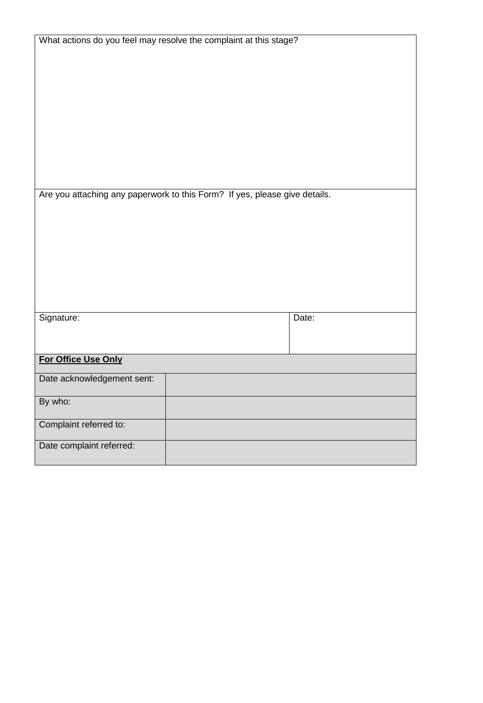| What actions do you feel may resolve the complaint at this stage?          |       |
|----------------------------------------------------------------------------|-------|
|                                                                            |       |
|                                                                            |       |
|                                                                            |       |
|                                                                            |       |
| Are you attaching any paperwork to this Form? If yes, please give details. |       |
|                                                                            |       |
|                                                                            |       |
|                                                                            |       |
|                                                                            |       |
|                                                                            |       |
|                                                                            |       |
|                                                                            |       |
| Signature:                                                                 | Date: |
|                                                                            |       |
|                                                                            |       |
| For Office Use Only                                                        |       |
| Date acknowledgement sent:                                                 |       |
| By who:                                                                    |       |
| Complaint referred to:                                                     |       |
| Date complaint referred:                                                   |       |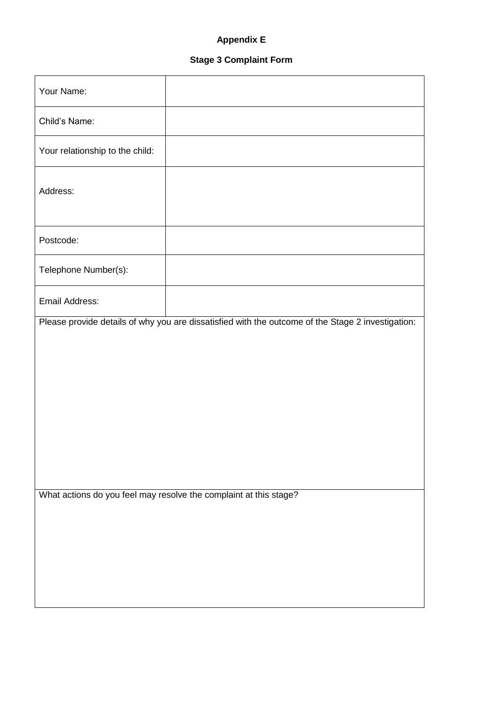# **Appendix E**

# **Stage 3 Complaint Form**

| Your Name:                                                        |                                                                                                   |  |
|-------------------------------------------------------------------|---------------------------------------------------------------------------------------------------|--|
| Child's Name:                                                     |                                                                                                   |  |
| Your relationship to the child:                                   |                                                                                                   |  |
| Address:                                                          |                                                                                                   |  |
| Postcode:                                                         |                                                                                                   |  |
| Telephone Number(s):                                              |                                                                                                   |  |
| <b>Email Address:</b>                                             |                                                                                                   |  |
|                                                                   | Please provide details of why you are dissatisfied with the outcome of the Stage 2 investigation: |  |
| What actions do you feel may resolve the complaint at this stage? |                                                                                                   |  |
|                                                                   |                                                                                                   |  |

 $\overline{\phantom{a}}$